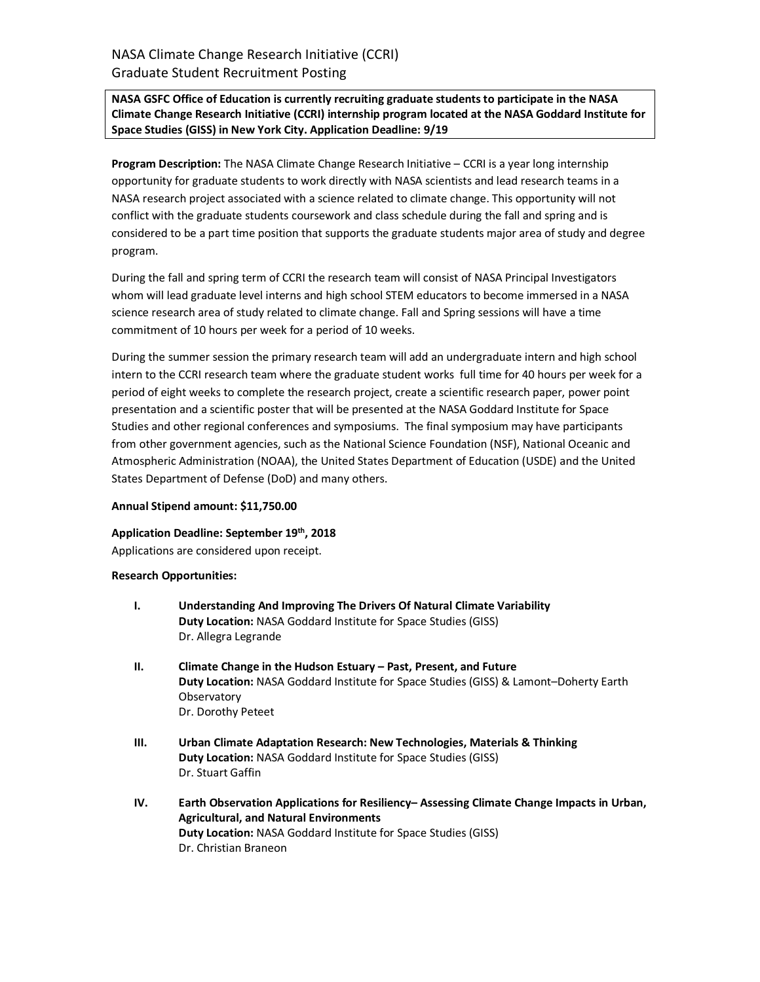# **NASA GSFC Office of Education is currently recruiting graduate studentsto participate in the NASA Climate Change Research Initiative (CCRI) internship program located at the NASA Goddard Institute for Space Studies (GISS) in New York City. Application Deadline: 9/19**

**Program Description:** The NASA Climate Change Research Initiative – CCRI is a year long internship opportunity for graduate students to work directly with NASA scientists and lead research teams in a NASA research project associated with a science related to climate change. This opportunity will not conflict with the graduate students coursework and class schedule during the fall and spring and is considered to be a part time position that supports the graduate students major area of study and degree program.

During the fall and spring term of CCRI the research team will consist of NASA Principal Investigators whom will lead graduate level interns and high school STEM educators to become immersed in a NASA science research area of study related to climate change. Fall and Spring sessions will have a time commitment of 10 hours per week for a period of 10 weeks.

During the summer session the primary research team will add an undergraduate intern and high school intern to the CCRI research team where the graduate student works full time for 40 hours per week for a period of eight weeks to complete the research project, create a scientific research paper, power point presentation and a scientific poster that will be presented at the NASA Goddard Institute for Space Studies and other regional conferences and symposiums. The final symposium may have participants from other government agencies, such as the National Science Foundation (NSF), National Oceanic and Atmospheric Administration (NOAA), the United States Department of Education (USDE) and the United States Department of Defense (DoD) and many others.

### **Annual Stipend amount: \$11,750.00**

### **Application Deadline: September 19th, 2018**

Applications are considered upon receipt.

### **Research Opportunities:**

- **I. Understanding And Improving The Drivers Of Natural Climate Variability Duty Location:** NASA Goddard Institute for Space Studies (GISS) Dr. Allegra Legrande
- **II. Climate Change in the Hudson Estuary – Past, Present, and Future Duty Location:** NASA Goddard Institute for Space Studies (GISS) & Lamont–Doherty Earth **Observatory** Dr. Dorothy Peteet
- **III. Urban Climate Adaptation Research: New Technologies, Materials & Thinking Duty Location:** NASA Goddard Institute for Space Studies (GISS) Dr. Stuart Gaffin
- **IV. Earth Observation Applications for Resiliency– Assessing Climate Change Impacts in Urban, Agricultural, and Natural Environments Duty Location:** NASA Goddard Institute for Space Studies (GISS) Dr. Christian Braneon